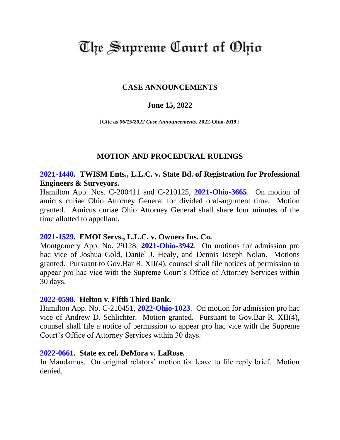# The Supreme Court of Ohio

# **CASE ANNOUNCEMENTS**

## **June 15, 2022**

**[Cite as** *06/15/2022 Case Announcements***, 2022-Ohio-2019.]**

# **MOTION AND PROCEDURAL RULINGS**

# **[2021-1440.](https://www.supremecourt.ohio.gov/Clerk/ecms/#/caseinfo/2021/1440) TWISM Ents., L.L.C. v. State Bd. of Registration for Professional Engineers & Surveyors.**

Hamilton App. Nos. C-200411 and C-210125, **[2021-Ohio-3665](https://www.supremecourt.ohio.gov/rod/docs/pdf/1/2021/2021-Ohio-3665.pdf)**. On motion of amicus curiae Ohio Attorney General for divided oral-argument time. Motion granted. Amicus curiae Ohio Attorney General shall share four minutes of the time allotted to appellant.

# **[2021-1529.](https://www.supremecourt.ohio.gov/Clerk/ecms/#/caseinfo/2021/1529) EMOI Servs., L.L.C. v. Owners Ins. Co.**

Montgomery App. No. 29128, **[2021-Ohio-3942](https://www.supremecourt.ohio.gov/rod/docs/pdf/2/2021/2021-Ohio-3942.pdf)**. On motions for admission pro hac vice of Joshua Gold, Daniel J. Healy, and Dennis Joseph Nolan. Motions granted. Pursuant to Gov.Bar R. XII(4), counsel shall file notices of permission to appear pro hac vice with the Supreme Court's Office of Attorney Services within 30 days.

#### **[2022-0598.](https://www.supremecourt.ohio.gov/Clerk/ecms/#/caseinfo/2022/0598) Helton v. Fifth Third Bank.**

Hamilton App. No. C-210451, **[2022-Ohio-1023](https://www.supremecourt.ohio.gov/rod/docs/pdf/1/2022/2022-Ohio-1023.pdf)**. On motion for admission pro hac vice of Andrew D. Schlichter. Motion granted. Pursuant to Gov.Bar R. XII(4), counsel shall file a notice of permission to appear pro hac vice with the Supreme Court's Office of Attorney Services within 30 days.

#### **[2022-0661.](https://www.supremecourt.ohio.gov/Clerk/ecms/#/caseinfo/2022/0661) State ex rel. DeMora v. LaRose.**

In Mandamus. On original relators' motion for leave to file reply brief. Motion denied.